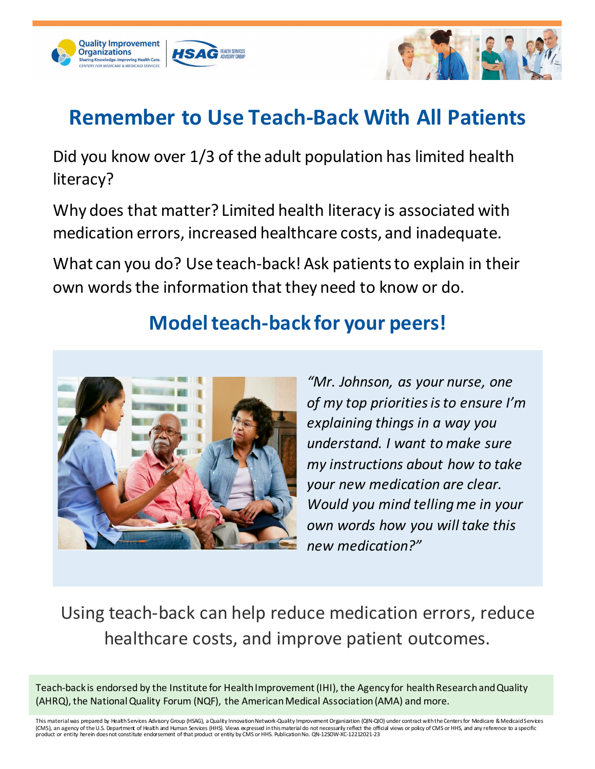



### **Remember to Use Teach-Back With All Patients**

Did you know over 1/3 of the adult population has limited health literacy?

Why does that matter? Limited health literacy is associated with medication errors, increased healthcare costs, and inadequate.

What can you do? Use teach-back! Ask patients to explain in their own words the information that they need to know or do.

#### **Model teach-back for your peers!**



*"Mr. Johnson, as your nurse, one of my top priorities is to ensure I'm explaining things in a way you understand. I want to make sure my instructions about how to take your new medication are clear. Would you mind telling me in your own words how you will take this new medication?"*

Using teach-back can help reduce medication errors, reduce healthcare costs, and improve patient outcomes.

Teach-back is endorsed by the Institute for Health Improvement (IHI), the Agency for health Researchand Quality (AHRQ), the National Quality Forum (NQF), the American Medical Association (AMA) and more.

This material was prepared by Health Services Advisory Group (HSAG), a Quality Innovation Network-Quality Improvement Organization (QIN-QIO) under contract with the Centers for Medicare & Medicaid Services (CMS), an agency of the U.S. Department of Health and Human Services (HHS). Views expressed in this material do not necessarily reflect the official views or policy of CMS or HHS, and any reference to a specific<br>product or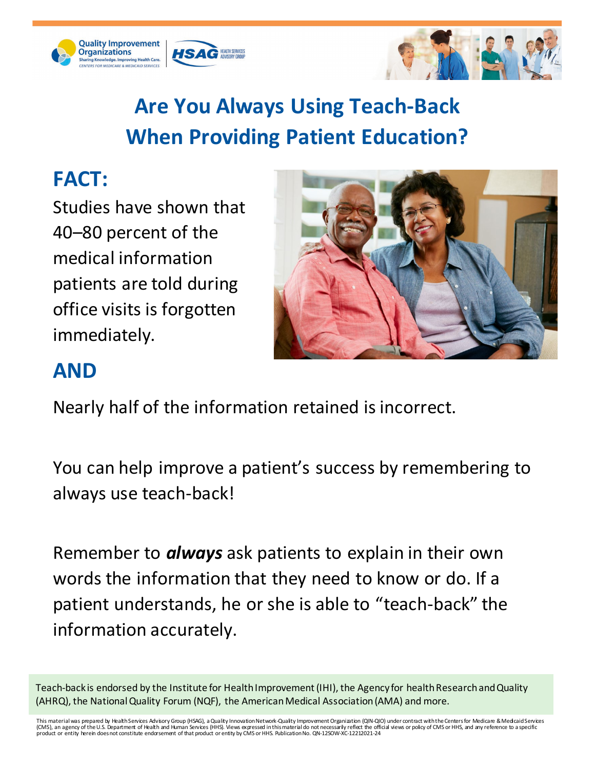





## **Are You Always Using Teach-Back When Providing Patient Education?**

### **FACT:**

Studies have shown that 40–80 percent of the medical information patients are told during office visits is forgotten immediately.



#### **AND**

Nearly half of the information retained is incorrect.

You can help improve a patient's success by remembering to always use teach-back!

Remember to *always* ask patients to explain in their own words the information that they need to know or do. If a patient understands, he or she is able to "teach-back" the information accurately.

Teach-back is endorsed by the Institute for Health Improvement (IHI), the Agency for health Research and Quality (AHRQ), the National Quality Forum (NQF), the American Medical Association (AMA) and more.